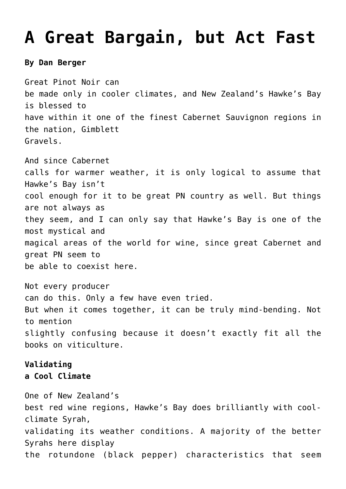## **[A Great Bargain, but Act Fast](https://www.vintageexperiences.com/2019/08/24/a-great-bargain-but-act-fast/)**

## **By Dan Berger**

Great Pinot Noir can be made only in cooler climates, and New Zealand's Hawke's Bay is blessed to have within it one of the finest Cabernet Sauvignon regions in the nation, Gimblett Gravels.

And since Cabernet calls for warmer weather, it is only logical to assume that Hawke's Bay isn't cool enough for it to be great PN country as well. But things are not always as they seem, and I can only say that Hawke's Bay is one of the most mystical and magical areas of the world for wine, since great Cabernet and great PN seem to be able to coexist here.

Not every producer can do this. Only a few have even tried. But when it comes together, it can be truly mind-bending. Not to mention slightly confusing because it doesn't exactly fit all the books on viticulture.

## **Validating a Cool Climate**

One of New Zealand's best red wine regions, Hawke's Bay does brilliantly with coolclimate Syrah, validating its weather conditions. A majority of the better Syrahs here display the rotundone (black pepper) characteristics that seem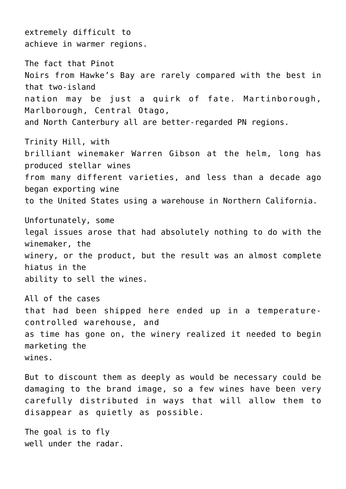extremely difficult to achieve in warmer regions.

The fact that Pinot Noirs from Hawke's Bay are rarely compared with the best in that two-island nation may be just a quirk of fate. Martinborough, Marlborough, Central Otago, and North Canterbury all are better-regarded PN regions.

Trinity Hill, with brilliant winemaker Warren Gibson at the helm, long has produced stellar wines from many different varieties, and less than a decade ago began exporting wine to the United States using a warehouse in Northern California.

Unfortunately, some legal issues arose that had absolutely nothing to do with the winemaker, the winery, or the product, but the result was an almost complete hiatus in the ability to sell the wines.

All of the cases that had been shipped here ended up in a temperaturecontrolled warehouse, and as time has gone on, the winery realized it needed to begin marketing the wines.

But to discount them as deeply as would be necessary could be damaging to the brand image, so a few wines have been very carefully distributed in ways that will allow them to disappear as quietly as possible.

The goal is to fly well under the radar.